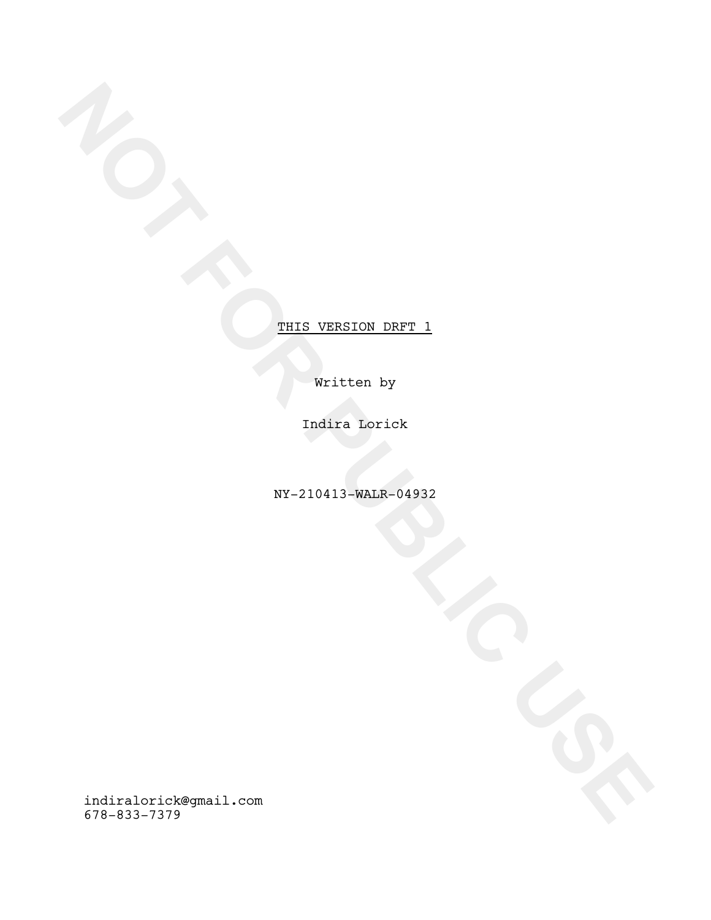Written by

Indira Lorick

NY-210413-WALR-04932

**NOTE:**<br>
WELFARE THE WELFARE OF DETAILS TRAINS AND TRAINS AND TRAINS AND TRAINS AND TRAINS AND TRAINS AND TRAINS AND TRAINS AND TRAINS AND TRAINS AND TRAINS AND TRAINS AND TRAINS AND TRAINS AND TRAINS AND TRAINS AND TRAINS indiralorick@gmail.com 678-833-7379